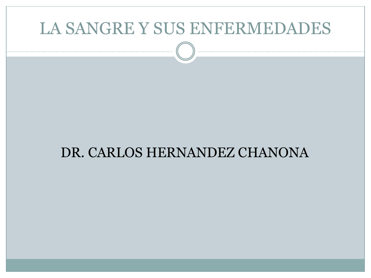#### DR. CARLOS HERNANDEZ CHANONA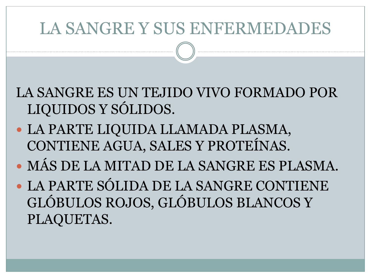LA SANGRE ES UN TEJIDO VIVO FORMADO POR LIQUIDOS Y SÓLIDOS.

- LA PARTE LIQUIDA LLAMADA PLASMA, CONTIENE AGUA, SALES Y PROTEÍNAS.
- MÁS DE LA MITAD DE LA SANGRE ES PLASMA.
- LA PARTE SÓLIDA DE LA SANGRE CONTIENE GLÓBULOS ROJOS, GLÓBULOS BLANCOS Y PLAQUETAS.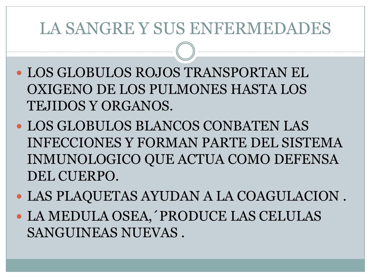- LOS GLOBULOS ROJOS TRANSPORTAN EL OXIGENO DE LOS PULMONES HASTA LOS TEJIDOS Y ORGANOS.
- LOS GLOBULOS BLANCOS CONBATEN LAS INFECCIONES Y FORMAN PARTE DEL SISTEMA INMUNOLOGICO QUE ACTUA COMO DEFENSA DEL CUERPO.
- LAS PLAQUETAS AYUDAN A LA COAGULACION .
- LA MEDULA OSEA,´PRODUCE LAS CELULAS SANGUINEAS NUEVAS .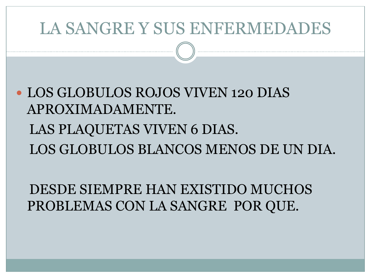LOS GLOBULOS ROJOS VIVEN 120 DIAS APROXIMADAMENTE.

 LAS PLAQUETAS VIVEN 6 DIAS. LOS GLOBULOS BLANCOS MENOS DE UN DIA.

 DESDE SIEMPRE HAN EXISTIDO MUCHOS PROBLEMAS CON LA SANGRE POR QUE.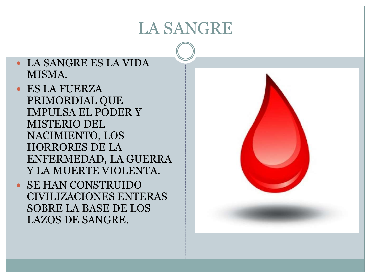- LA SANGRE ES LA VIDA MISMA.
- ES LA FUERZA PRIMORDIAL QUE IMPULSA EL PODER Y MISTERIO DEL NACIMIENTO, LOS HORRORES DE LA ENFERMEDAD, LA GUERRA Y LA MUERTE VIOLENTA.
- SE HAN CONSTRUIDO CIVILIZACIONES ENTERAS SOBRE LA BASE DE LOS LAZOS DE SANGRE.

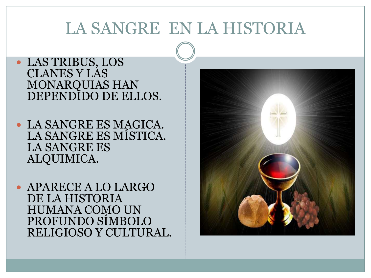## LA SANGRE EN LA HISTORIA

#### LAS TRIBUS, LOS CLANES Y LAS MONARQUIAS HAN DEPENDIDO DE ELLOS.

- LA SANGRE ES MAGICA. LA SANGRE ES MÍSTICA. LA SANGRE ES ALQUIMICA.
- APARECE A LO LARGO DE LA HISTORIA HUMANA COMO UN PROFUNDO SÍMBOLO RELIGIOSO Y CULTURAL.

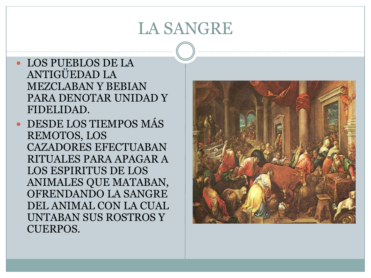- LOS PUEBLOS DE LA ANTIGÜEDAD LA MEZCLABAN Y BEBIAN PARA DENOTAR UNIDAD Y FIDELIDAD.
- DESDE LOS TIEMPOS MÁS REMOTOS, LOS CAZADORES EFECTUABAN RITUALES PARA APAGAR A LOS ESPIRITUS DE LOS ANIMALES QUE MATABAN, OFRENDANDO LA SANGRE DEL ANIMAL CON LA CUAL UNTABAN SUS ROSTROS Y CUERPOS.

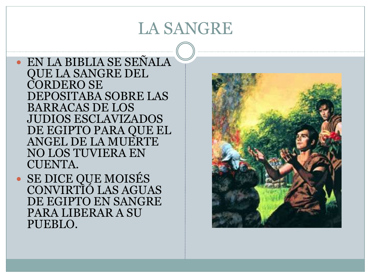EN LA BIBLIA SE SEÑALA QUE LA SANGRE DEL CORDERO SE DEPOSITABA SOBRE LAS BARRACAS DE LOS JUDIOS ESCLAVIZADOS DE EGIPTO PARA QUE EL ANGEL DE LA MUERTE NO LOS TUVIERA EN CUENTA.

 SE DICE QUE MOISÉS CONVIRTIÓ LAS AGUAS DE EGIPTO EN SANGRE PARA LIBERAR A SU PUEBLO.

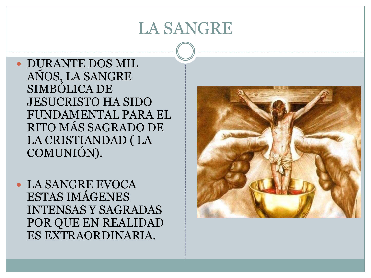DURANTE DOS MIL AÑOS, LA SANGRE SIMBÓLICA DE JESUCRISTO HA SIDO FUNDAMENTAL PARA EL RITO MÁS SAGRADO DE LA CRISTIANDAD ( LA COMUNIÓN).

 LA SANGRE EVOCA ESTAS IMÁGENES INTENSAS Y SAGRADAS POR QUE EN REALIDAD ES EXTRAORDINARIA.

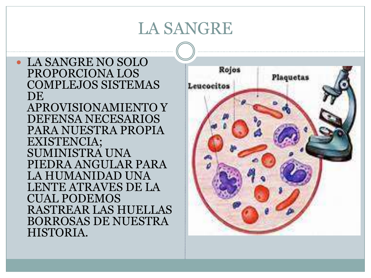LA SANGRE NO SOLO PROPORCIONA LOS COMPLEJOS SISTEMAS DE. APROVISIONAMIENTO Y DEFENSA NECESARIOS PARA NUESTRA PROPIA EXISTENCIA; SUMINISTRA UNA PIEDRA ANGULAR PARA LA HUMANIDAD UNA LENTE ATRAVES DE LA CUAL PODEMOS RASTREAR LAS HUELLAS BORROSAS DE NUESTRA HISTORIA.

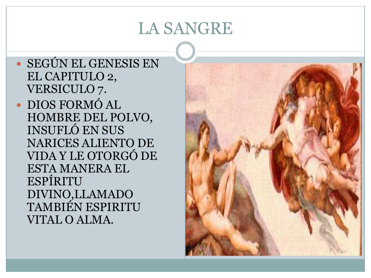SEGÚN EL GENESIS EN EL CAPITULO 2, VERSICULO 7. DIOS FORMÓ AL HOMBRE DEL POLVO, INSUFLÓ EN SUS NARICES ALIENTO DE VIDA Y LE OTORGÓ DE ESTA MANERA EL ESPÍRITU DIVINO,LLAMADO TAMBIÉN ESPIRITU VITAL O ALMA.

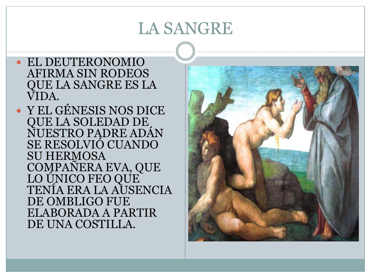- EL DEUTERONOMIO AFIRMA SIN RODEOS QUE LA SANGRE ES LA VIDA.
- Y EL GÉNESIS NOS DICE QUE LA SOLEDAD DE NUESTRO PADRE ADÁN SE RESOLVIÓ CUANDO SU HERMOSA COMPAÑERA EVA, QUE LO ÚNICO FEO QUE TENÍA ERA LA AUSENCIA DE OMBLIGO FUE ELABORADA A PARTIR DE UNA COSTILLA.

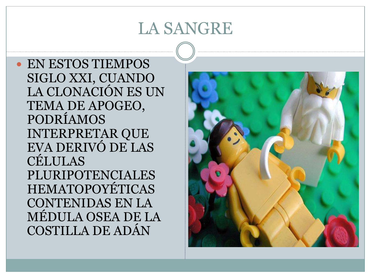EN ESTOS TIEMPOS SIGLO XXI, CUANDO LA CLONACIÓN ES UN TEMA DE APOGEO, PODRÍAMOS INTERPRETAR QUE EVA DERIVÓ DE LAS CÉLULAS PLURIPOTENCIALES HEMATOPOYÉTICAS CONTENIDAS EN LA MÉDULA OSEA DE LA COSTILLA DE ADÁN

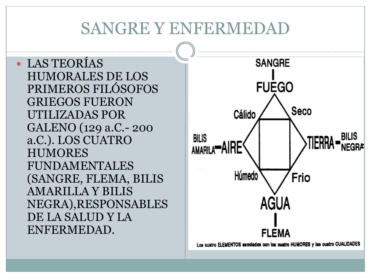LAS TEORÍAS HUMORALES DE LOS PRIMEROS FILÓSOFOS GRIEGOS FUERON UTILIZADAS POR GALENO (129 a.C.- 200 a.C.). LOS CUATRO HUMORES FUNDAMENTALES (SANGRE, FLEMA, BILIS AMARILLA Y BILIS NEGRA),RESPONSABLES DE LA SALUD Y LA ENFERMEDAD.



Los cuatro ELEMENTOS asociados con los ouatro HUMORES y las cuatro CUALIDADES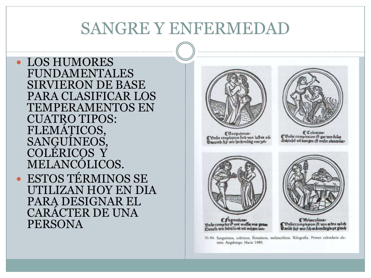LOS HUMORES FUNDAMENTALES SIRVIERON DE BASE PARA CLASIFICAR LOS TEMPERAMENTOS EN CUATRO TIPOS: FLEMÁTICOS, SANGUÍNEOS, COLÉRICOS Y MELANCÓLICOS. ESTOS TÉRMINOS SE UTILIZAN HOY EN DIA PARA DESIGNAR EL CARÁCTER DE UNA PERSONA



Canguineus)<br>C'Onfer conplexion find von luftes vil.<br>Oarumb fep wir hochmütig one 3pl.



*CColeticus* Daler complexion ift gar von feuer<br>Schlabe vñ keiegen ift vnfer abenterier



Flegmaticus)<br>Sniet comples iP ant wallet met getten<br>Darum wit fabulik sit mit mügen lan



*C* Wielencolicus Confercomplesion ift von æden wöch<br>Øarüb fep wir fch wärmüngkept gleich

91-94. Sanguineos, coléricos, flemáticos, melancólicos. Xilografía. Primer calendario alemán. Augsburgo. Hacia 1480.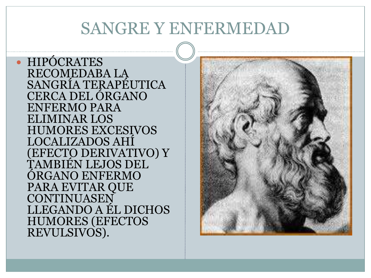• HIPÓCRATES RECOMEDABA LA SANGRÍA TERAPÉUTICA CERCA DEL ÓRGANO ENFERMO PARA ELIMINAR LOS HUMORES EXCESIVOS LOCALIZADOS AHÍ (EFECTO DERIVATIVO) Y TAMBIÉN LEJOS DEL ÓRGANO ENFERMO PARA EVITAR QUE CONTINUASEN LLEGANDO A ÉL DICHOS HUMORES (EFECTOS REVULSIVOS).

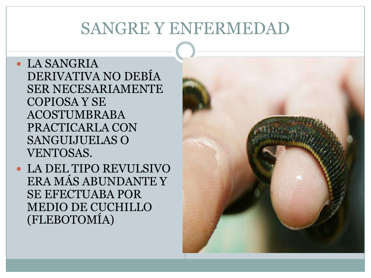- LA SANGRIA DERIVATIVA NO DEBÍA SER NECESARIAMENTE COPIOSA Y SE ACOSTUMBRABA PRACTICARLA CON SANGUIJUELAS O VENTOSAS.
- LA DEL TIPO REVULSIVO ERA MÁS ABUNDANTE Y SE EFECTUABA POR MEDIO DE CUCHILLO (FLEBOTOMÍA)

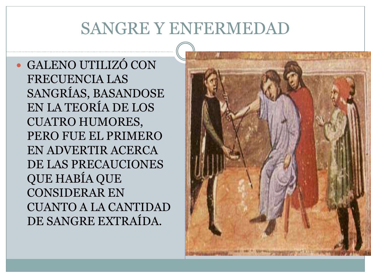GALENO UTILIZÓ CON FRECUENCIA LAS SANGRÍAS, BASANDOSE EN LA TEORÍA DE LOS CUATRO HUMORES, PERO FUE EL PRIMERO EN ADVERTIR ACERCA DE LAS PRECAUCIONES QUE HABÍA QUE CONSIDERAR EN CUANTO A LA CANTIDAD DE SANGRE EXTRAÍDA.

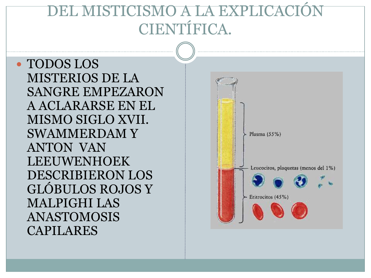## **DEL MISTICISMO A LA EXPLI** CIENTÍFICA.

 TODOS LOS MISTERIOS DE LA SANGRE EMPEZARON A ACLARARSE EN EL MISMO SIGLO XVII. SWAMMERDAM Y ANTON VAN LEEUWENHOEK DESCRIBIERON LOS GLÓBULOS ROJOS Y MALPIGHI LAS ANASTOMOSIS CAPILARES

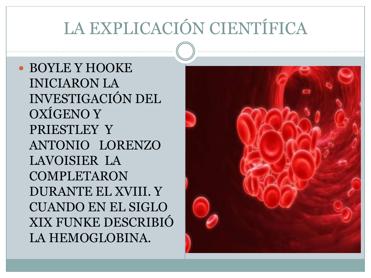BOYLE Y HOOKE INICIARON LA INVESTIGACIÓN DEL OXÍGENO Y PRIESTLEY Y ANTONIO LORENZO LAVOISIER LA COMPLETARON DURANTE EL XVIII. Y CUANDO EN EL SIGLO XIX FUNKE DESCRIBIÓ LA HEMOGLOBINA.

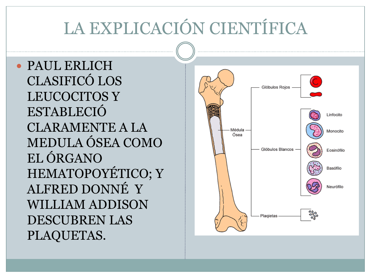PAUL ERLICH CLASIFICÓ LOS LEUCOCITOS Y ESTABLECIÓ CLARAMENTE A LA MEDULA ÓSEA COMO EL ÓRGANO HEMATOPOYÉTICO; Y ALFRED DONNÉ Y WILLIAM ADDISON DESCUBREN LAS PLAQUETAS.

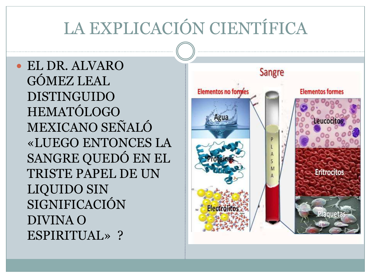EL DR. ALVARO GÓMEZ LEAL DISTINGUIDO HEMATÓLOGO MEXICANO SEÑALÓ «LUEGO ENTONCES LA SANGRE QUEDÓ EN EL TRISTE PAPEL DE UN LIQUIDO SIN SIGNIFICACIÓN DIVINA O ESPIRITUAL» ?

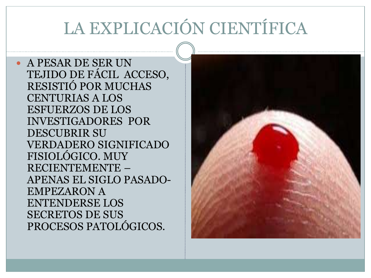A PESAR DE SER UN TEJIDO DE FÁCIL ACCESO, RESISTIÓ POR MUCHAS CENTURIAS A LOS ESFUERZOS DE LOS INVESTIGADORES POR DESCUBRIR SU VERDADERO SIGNIFICADO FISIOLÓGICO. MUY RECIENTEMENTE – APENAS EL SIGLO PASADO-EMPEZARON A ENTENDERSE LOS SECRETOS DE SUS PROCESOS PATOLÓGICOS.

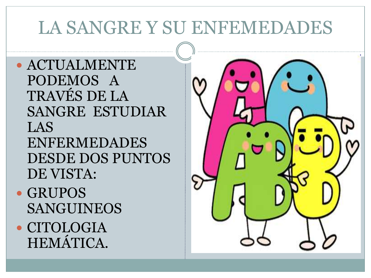ACTUALMENTE PODEMOS A TRAVÉS DE LA SANGRE ESTUDIAR LAS ENFERMEDADES DESDE DOS PUNTOS DE VISTA:

- GRUPOS SANGUINEOS
- CITOLOGIA HEMÁTICA.

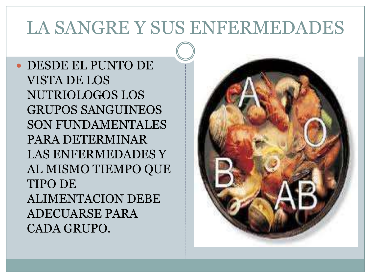DESDE EL PUNTO DE VISTA DE LOS NUTRIOLOGOS LOS GRUPOS SANGUINEOS SON FUNDAMENTALES PARA DETERMINAR LAS ENFERMEDADES Y AL MISMO TIEMPO QUE TIPO DE ALIMENTACION DEBE ADECUARSE PARA CADA GRUPO.

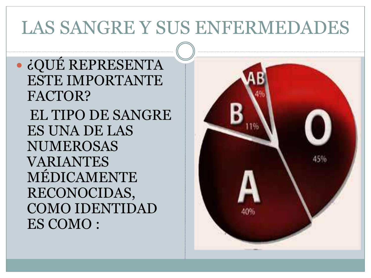¿QUÉ REPRESENTA ESTE IMPORTANTE FACTOR? EL TIPO DE SANGRE ES UNA DE LAS NUMEROSAS VARIANTES MÉDICAMENTE RECONOCIDAS, COMO IDENTIDAD ES COMO :

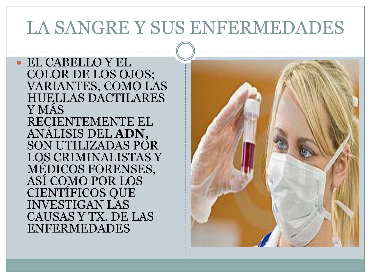EL CABELLO Y EL COLOR DE LOS OJOS; VARIANTES, COMO LAS HUELLAS DACTILARES Y MÁS RECIENTEMENTE EL ANÁLISIS DEL **ADN,**  SON UTILIZADAS POR LOS CRIMINALISTAS Y MÉDICOS FORENSES, ASÍ COMO POR LOS CIENTÍFICOS QUE INVESTIGAN LAS CAUSAS Y TX. DE LAS ENFERMEDADES

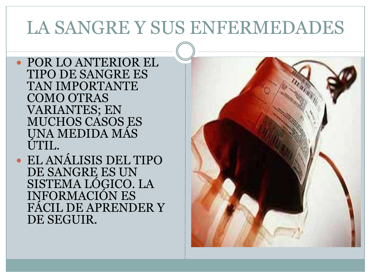POR LO ANTERIOR EL TIPO DE SANGRE ES TAN IMPORTANTE COMO OTRAS VARIANTES; EN MUCHOS CASOS ES UNA MEDIDA MÁS ÚTIL.

 EL ANÁLISIS DEL TIPO DE SANGRE ES UN SISTEMA LÓGICO. LA INFORMACIÓN ES FÁCIL DE APRENDER Y DE SEGUIR.

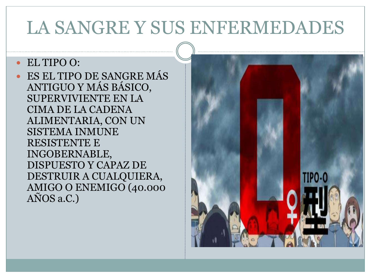#### EL TIPO O:

 ES EL TIPO DE SANGRE MÁS ANTIGUO Y MÁS BÁSICO, SUPERVIVIENTE EN LA CIMA DE LA CADENA ALIMENTARIA, CON UN SISTEMA INMUNE RESISTENTE E INGOBERNABLE, DISPUESTO Y CAPAZ DE DESTRUIR A CUALQUIERA, AMIGO O ENEMIGO (40.000 AÑOS a.C.)

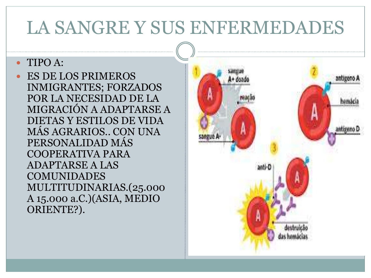#### TIPO A:

 ES DE LOS PRIMEROS INMIGRANTES; FORZADOS POR LA NECESIDAD DE LA MIGRACIÓN A ADAPTARSE A DIETAS Y ESTILOS DE VIDA MÁS AGRARIOS.. CON UNA PERSONALIDAD MÁS COOPERATIVA PARA ADAPTARSE A LAS COMUNIDADES MULTITUDINARIAS.(25.000 A 15.000 a.C.)(ASIA, MEDIO ORIENTE?).

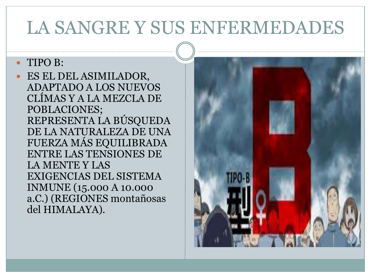#### • TIPO B:

 ES EL DEL ASIMILADOR, ADAPTADO A LOS NUEVOS CLÍMAS Y A LA MEZCLA DE POBLACIONES; REPRESENTA LA BÚSQUEDA DE LA NATURALEZA DE UNA FUERZA MÁS EQUILIBRADA ENTRE LAS TENSIONES DE LA MENTE Y LAS EXIGENCIAS DEL SISTEMA INMUNE (15.000 A 10.000 a.C.) (REGIONES montañosas del HIMALAYA).

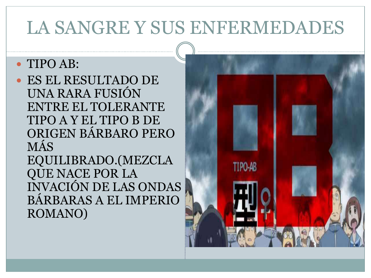#### TIPO AB:

 ES EL RESULTADO DE UNA RARA FUSIÓN ENTRE EL TOLERANTE TIPO A Y EL TIPO B DE ORIGEN BÁRBARO PERO MÁS

EQUILIBRADO.(MEZCLA QUE NACE POR LA INVACIÓN DE LAS ONDAS BÁRBARAS A EL IMPERIO ROMANO)

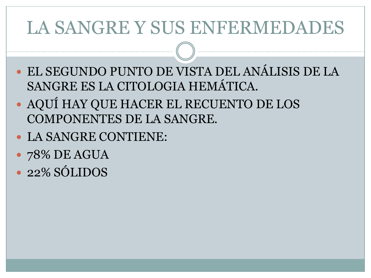- EL SEGUNDO PUNTO DE VISTA DEL ANÁLISIS DE LA SANGRE ES LA CITOLOGIA HEMÁTICA.
- AQUÍ HAY QUE HACER EL RECUENTO DE LOS COMPONENTES DE LA SANGRE.
- LA SANGRE CONTIENE:
- 78% DE AGUA
- 22% SÓLIDOS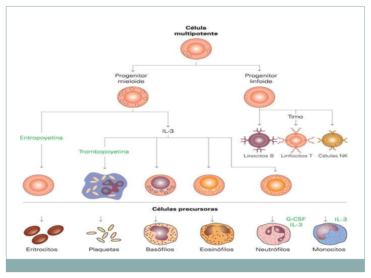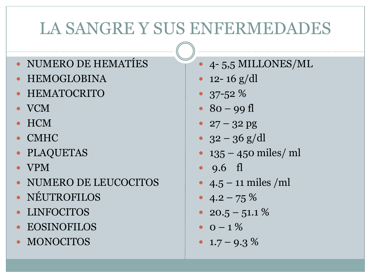- NUMERO DE HEMATÍES
- HEMOGLOBINA
- HEMATOCRITO
- VCM
- HCM
- CMHC
- PLAQUETAS
- VPM
- NUMERO DE LEUCOCITOS
- NÉUTROFILOS
- LINFOCITOS
- EOSINOFILOS
- MONOCITOS
- 4- 5,5 MILLONES/ML
- 12- 16  $g/dl$
- 37-52 %
- $80 99 \text{ fl}$
- $27 32$  pg
- $32 36$  g/dl
- 135 450 miles/ ml
- 9.6 fl
- $4.5 11$  miles /ml
- $4.2 75\%$
- 20.5 51.1  $%$
- $0 1\%$
- $\cdot$  1.7 9.3 %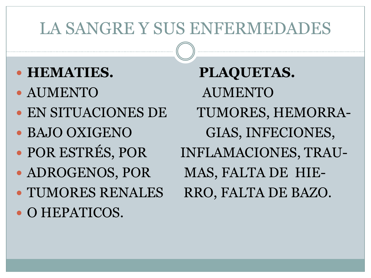- 
- 
- 
- 
- 
- 
- TUMORES RENALES RRO, FALTA DE BAZO.
- O HEPATICOS.

**• HEMATIES. PLAQUETAS.**  AUMENTO AUMENTO EN SITUACIONES DE TUMORES, HEMORRA- • BAJO OXIGENO GIAS, INFECIONES, • POR ESTRÉS, POR INFLAMACIONES, TRAU-• ADROGENOS, POR MAS, FALTA DE HIE-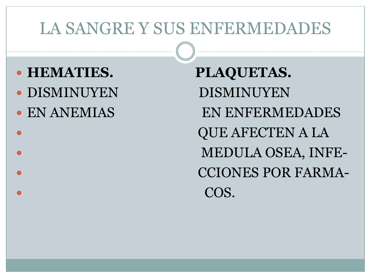- **HEMATIES. PLAQUETAS.**
- DISMINUYEN DISMINUYEN
- 

• EN ANEMIAS EN ENFERMEDADES QUE AFECTEN A LA MEDULA OSEA, INFE- CCIONES POR FARMA- COS.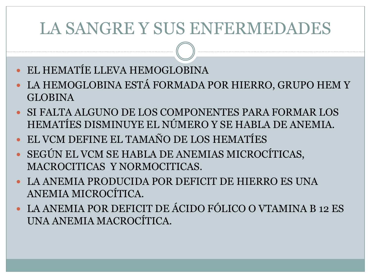- EL HEMATÍE LLEVA HEMOGLOBINA
- LA HEMOGLOBINA ESTÁ FORMADA POR HIERRO, GRUPO HEM Y GLOBINA
- SI FALTA ALGUNO DE LOS COMPONENTES PARA FORMAR LOS HEMATÍES DISMINUYE EL NÚMERO Y SE HABLA DE ANEMIA.
- EL VCM DEFINE EL TAMAÑO DE LOS HEMATÍES
- SEGÚN EL VCM SE HABLA DE ANEMIAS MICROCÍTICAS, MACROCITICAS Y NORMOCITICAS.
- LA ANEMIA PRODUCIDA POR DEFICIT DE HIERRO ES UNA ANEMIA MICROCÍTICA.
- LA ANEMIA POR DEFICIT DE ÁCIDO FÓLICO O VTAMINA B 12 ES UNA ANEMIA MACROCÍTICA.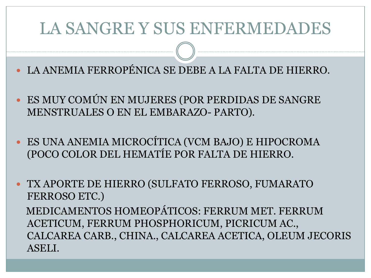- LA ANEMIA FERROPÉNICA SE DEBE A LA FALTA DE HIERRO.
- ES MUY COMÚN EN MUJERES (POR PERDIDAS DE SANGRE MENSTRUALES O EN EL EMBARAZO- PARTO).
- ES UNA ANEMIA MICROCÍTICA (VCM BAJO) E HIPOCROMA (POCO COLOR DEL HEMATÍE POR FALTA DE HIERRO.
- TX APORTE DE HIERRO (SULFATO FERROSO, FUMARATO FERROSO ETC.) MEDICAMENTOS HOMEOPÁTICOS: FERRUM MET. FERRUM ACETICUM, FERRUM PHOSPHORICUM, PICRICUM AC., CALCAREA CARB., CHINA., CALCAREA ACETICA, OLEUM JECORIS ASELI.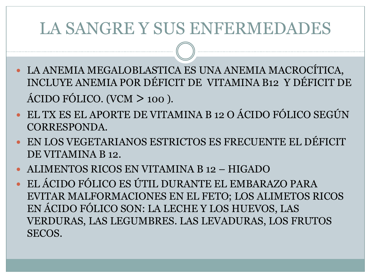- LA ANEMIA MEGALOBLASTICA ES UNA ANEMIA MACROCÍTICA, INCLUYE ANEMIA POR DÉFICIT DE VITAMINA B12 Y DÉFICIT DE ÁCIDO FÓLICO. (VCM > 100 ).
- EL TX ES EL APORTE DE VITAMINA B 12 O ÁCIDO FÓLICO SEGÚN CORRESPONDA.
- EN LOS VEGETARIANOS ESTRICTOS ES FRECUENTE EL DÉFICIT DE VITAMINA B 12.
- ALIMENTOS RICOS EN VITAMINA B 12 HIGADO
- EL ÁCIDO FÓLICO ES ÚTIL DURANTE EL EMBARAZO PARA EVITAR MALFORMACIONES EN EL FETO; LOS ALIMETOS RICOS EN ÁCIDO FÓLICO SON: LA LECHE Y LOS HUEVOS, LAS VERDURAS, LAS LEGUMBRES. LAS LEVADURAS, LOS FRUTOS SECOS.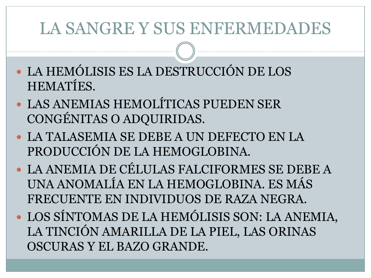- LA HEMÓLISIS ES LA DESTRUCCIÓN DE LOS HEMATÍES.
- LAS ANEMIAS HEMOLÍTICAS PUEDEN SER CONGÉNITAS O ADQUIRIDAS.
- LA TALASEMIA SE DEBE A UN DEFECTO EN LA PRODUCCIÓN DE LA HEMOGLOBINA.
- LA ANEMIA DE CÉLULAS FALCIFORMES SE DEBE A UNA ANOMALÍA EN LA HEMOGLOBINA. ES MÁS FRECUENTE EN INDIVIDUOS DE RAZA NEGRA.
- LOS SÍNTOMAS DE LA HEMÓLISIS SON: LA ANEMIA, LA TINCIÓN AMARILLA DE LA PIEL, LAS ORINAS OSCURAS Y EL BAZO GRANDE.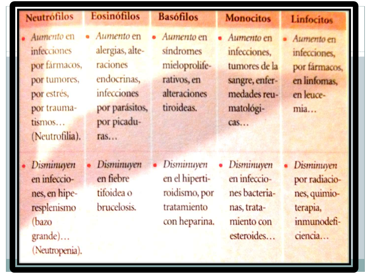| <b>Neutrofilos</b>                                                                                                          | Eosinófilos                                                                                                     | <b>Basófilos</b>                                                                      | <b>Monocitos</b>                                                                                  | <b>Linfocitos</b>                                                                        |
|-----------------------------------------------------------------------------------------------------------------------------|-----------------------------------------------------------------------------------------------------------------|---------------------------------------------------------------------------------------|---------------------------------------------------------------------------------------------------|------------------------------------------------------------------------------------------|
| Aumento en<br><i>infecciones</i><br>por fármacos,<br>por tumores,<br>por estrés,<br>por trauma-<br>tismos<br>(Neutrofilia). | Aumento en<br>alergias, alte-<br>raciones<br>endocrinas,<br>infecciones<br>por parásitos,<br>por picadu-<br>ras | Aumento en<br>sindromes<br>mieloprolife-<br>rativos, en<br>alteraciones<br>tiroideas. | Aumento en<br>infecciones.<br>tumores de la<br>sangre, enfer-<br>medades reu-<br>matológi-<br>cas | Aumento en<br>infecciones.<br>por fármacos<br>en linfomas,<br>en leuce-<br>mia           |
| Disminuyen<br>en infeccio-<br>nes, en hipe-<br>resplenismo<br>(bazo<br>grande)<br>(Neutropenia).                            | <b>Disminuyen</b><br>en fiebre<br>tifoidea o<br>brucelosis.                                                     | Disminuyen<br>en el hiperti-<br>roidismo, por<br>tratamiento<br>con heparina.         | Disminuyen<br>en infeccio-<br>nes bacteria-<br>nas, trata-<br>miento con<br>esteroides            | <b>Disminuyen</b><br>por radiacio-<br>nes, quimio-<br>terapia,<br>inmunodefi-<br>ciencia |

35,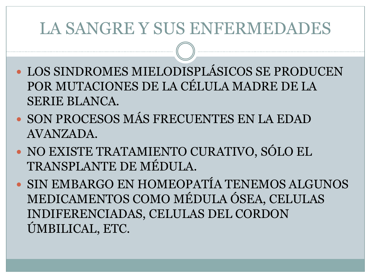- LOS SINDROMES MIELODISPLÁSICOS SE PRODUCEN POR MUTACIONES DE LA CÉLULA MADRE DE LA SERIE BLANCA.
- SON PROCESOS MÁS FRECUENTES EN LA EDAD AVANZADA.
- NO EXISTE TRATAMIENTO CURATIVO, SÓLO EL TRANSPLANTE DE MÉDULA.
- SIN EMBARGO EN HOMEOPATÍA TENEMOS ALGUNOS MEDICAMENTOS COMO MÉDULA ÓSEA, CELULAS INDIFERENCIADAS, CELULAS DEL CORDON ÚMBILICAL, ETC.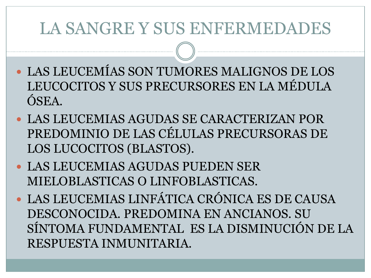- LAS LEUCEMÍAS SON TUMORES MALIGNOS DE LOS LEUCOCITOS Y SUS PRECURSORES EN LA MÉDULA ÓSEA.
- LAS LEUCEMIAS AGUDAS SE CARACTERIZAN POR PREDOMINIO DE LAS CÉLULAS PRECURSORAS DE LOS LUCOCITOS (BLASTOS).
- LAS LEUCEMIAS AGUDAS PUEDEN SER MIELOBLASTICAS O LINFOBLASTICAS.
- LAS LEUCEMIAS LINFÁTICA CRÓNICA ES DE CAUSA DESCONOCIDA. PREDOMINA EN ANCIANOS. SU SÍNTOMA FUNDAMENTAL ES LA DISMINUCIÓN DE LA RESPUESTA INMUNITARIA.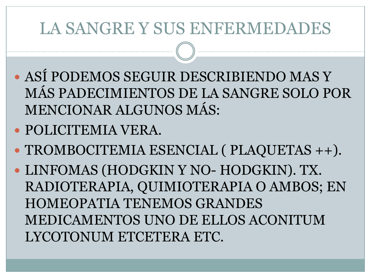- ASÍ PODEMOS SEGUIR DESCRIBIENDO MAS Y MÁS PADECIMIENTOS DE LA SANGRE SOLO POR MENCIONAR ALGUNOS MÁS:
- POLICITEMIA VERA.
- TROMBOCITEMIA ESENCIAL ( PLAQUETAS ++).
- LINFOMAS (HODGKIN Y NO- HODGKIN). TX. RADIOTERAPIA, QUIMIOTERAPIA O AMBOS; EN HOMEOPATIA TENEMOS GRANDES MEDICAMENTOS UNO DE ELLOS ACONITUM LYCOTONUM ETCETERA ETC.